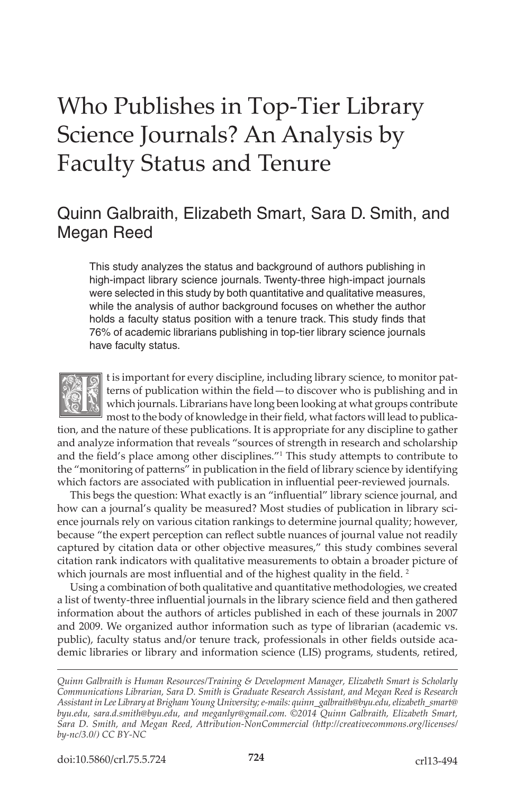# Who Publishes in Top-Tier Library Science Journals? An Analysis by Faculty Status and Tenure

## Quinn Galbraith, Elizabeth Smart, Sara D. Smith, and Megan Reed

This study analyzes the status and background of authors publishing in high-impact library science journals. Twenty-three high-impact journals were selected in this study by both quantitative and qualitative measures, while the analysis of author background focuses on whether the author holds a faculty status position with a tenure track. This study finds that 76% of academic librarians publishing in top-tier library science journals have faculty status.



t is important for every discipline, including library science, to monitor patterns of publication within the field—to discover who is publishing and in which journals. Librarians have long been looking at what groups contribute most to the body of knowledge in their field, what factors will lead to publica-

tion, and the nature of these publications. It is appropriate for any discipline to gather and analyze information that reveals "sources of strength in research and scholarship and the field's place among other disciplines.<sup>"1</sup> This study attempts to contribute to the "monitoring of patterns" in publication in the field of library science by identifying which factors are associated with publication in influential peer-reviewed journals.

This begs the question: What exactly is an "influential" library science journal, and how can a journal's quality be measured? Most studies of publication in library science journals rely on various citation rankings to determine journal quality; however, because "the expert perception can reflect subtle nuances of journal value not readily captured by citation data or other objective measures," this study combines several citation rank indicators with qualitative measurements to obtain a broader picture of which journals are most influential and of the highest quality in the field.<sup>2</sup>

Using a combination of both qualitative and quantitative methodologies, we created a list of twenty-three influential journals in the library science field and then gathered information about the authors of articles published in each of these journals in 2007 and 2009. We organized author information such as type of librarian (academic vs. public), faculty status and/or tenure track, professionals in other fields outside academic libraries or library and information science (LIS) programs, students, retired,

*Quinn Galbraith is Human Resources/Training & Development Manager, Elizabeth Smart is Scholarly Communications Librarian, Sara D. Smith is Graduate Research Assistant, and Megan Reed is Research Assistant in Lee Library at Brigham Young University; e-mails: quinn\_galbraith@byu.edu, elizabeth\_smart@ byu.edu, sara.d.smith@byu.edu, and meganlyr@gmail.com. ©2014 Quinn Galbraith, Elizabeth Smart, Sara D. Smith, and Megan Reed, Attribution-NonCommercial (http://creativecommons.org/licenses/ by-nc/3.0/) CC BY-NC*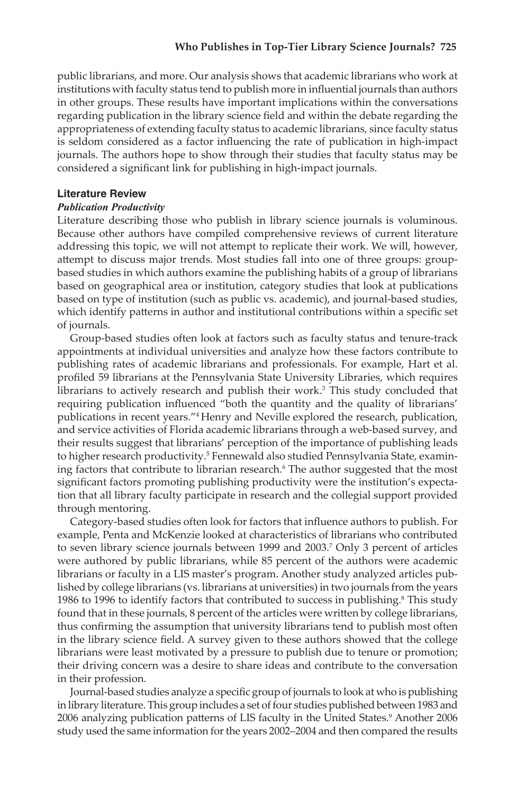public librarians, and more. Our analysis shows that academic librarians who work at institutions with faculty status tend to publish more in influential journals than authors in other groups. These results have important implications within the conversations regarding publication in the library science field and within the debate regarding the appropriateness of extending faculty status to academic librarians, since faculty status is seldom considered as a factor influencing the rate of publication in high-impact journals. The authors hope to show through their studies that faculty status may be considered a significant link for publishing in high-impact journals.

## **Literature Review**

### *Publication Productivity*

Literature describing those who publish in library science journals is voluminous. Because other authors have compiled comprehensive reviews of current literature addressing this topic, we will not attempt to replicate their work. We will, however, attempt to discuss major trends. Most studies fall into one of three groups: groupbased studies in which authors examine the publishing habits of a group of librarians based on geographical area or institution, category studies that look at publications based on type of institution (such as public vs. academic), and journal-based studies, which identify patterns in author and institutional contributions within a specific set of journals.

Group-based studies often look at factors such as faculty status and tenure-track appointments at individual universities and analyze how these factors contribute to publishing rates of academic librarians and professionals. For example, Hart et al. profiled 59 librarians at the Pennsylvania State University Libraries, which requires librarians to actively research and publish their work.<sup>3</sup> This study concluded that requiring publication influenced "both the quantity and the quality of librarians' publications in recent years."4 Henry and Neville explored the research, publication, and service activities of Florida academic librarians through a web-based survey, and their results suggest that librarians' perception of the importance of publishing leads to higher research productivity.<sup>5</sup> Fennewald also studied Pennsylvania State, examining factors that contribute to librarian research.<sup>6</sup> The author suggested that the most significant factors promoting publishing productivity were the institution's expectation that all library faculty participate in research and the collegial support provided through mentoring.

Category-based studies often look for factors that influence authors to publish. For example, Penta and McKenzie looked at characteristics of librarians who contributed to seven library science journals between 1999 and 2003.7 Only 3 percent of articles were authored by public librarians, while 85 percent of the authors were academic librarians or faculty in a LIS master's program. Another study analyzed articles published by college librarians (vs. librarians at universities) in two journals from the years 1986 to 1996 to identify factors that contributed to success in publishing.<sup>8</sup> This study found that in these journals, 8 percent of the articles were written by college librarians, thus confirming the assumption that university librarians tend to publish most often in the library science field. A survey given to these authors showed that the college librarians were least motivated by a pressure to publish due to tenure or promotion; their driving concern was a desire to share ideas and contribute to the conversation in their profession.

Journal-based studies analyze a specific group of journals to look at who is publishing in library literature. This group includes a set of four studies published between 1983 and 2006 analyzing publication patterns of LIS faculty in the United States.<sup>9</sup> Another 2006 study used the same information for the years 2002–2004 and then compared the results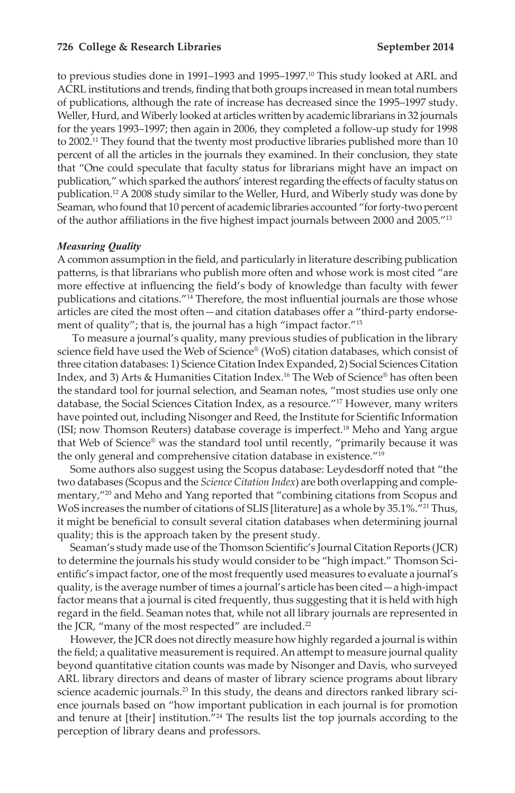#### **726 College & Research Libraries September 2014**

to previous studies done in 1991–1993 and 1995–1997.<sup>10</sup> This study looked at ARL and ACRL institutions and trends, finding that both groups increased in mean total numbers of publications, although the rate of increase has decreased since the 1995–1997 study. Weller, Hurd, and Wiberly looked at articles written by academic librarians in 32 journals for the years 1993–1997; then again in 2006, they completed a follow-up study for 1998 to 2002.<sup>11</sup> They found that the twenty most productive libraries published more than 10 percent of all the articles in the journals they examined. In their conclusion, they state that "One could speculate that faculty status for librarians might have an impact on publication," which sparked the authors' interest regarding the effects of faculty status on publication.12 A 2008 study similar to the Weller, Hurd, and Wiberly study was done by Seaman, who found that 10 percent of academic libraries accounted "for forty-two percent of the author affiliations in the five highest impact journals between 2000 and 2005."<sup>13</sup>

## *Measuring Quality*

A common assumption in the field, and particularly in literature describing publication patterns, is that librarians who publish more often and whose work is most cited "are more effective at influencing the field's body of knowledge than faculty with fewer publications and citations."<sup>14</sup> Therefore, the most influential journals are those whose articles are cited the most often—and citation databases offer a "third-party endorsement of quality"; that is, the journal has a high "impact factor."<sup>15</sup>

 To measure a journal's quality, many previous studies of publication in the library science field have used the Web of Science® (WoS) citation databases, which consist of three citation databases: 1) Science Citation Index Expanded, 2) Social Sciences Citation Index, and 3) Arts & Humanities Citation Index.16 The Web of Science® has often been the standard tool for journal selection, and Seaman notes, "most studies use only one database, the Social Sciences Citation Index, as a resource."17 However, many writers have pointed out, including Nisonger and Reed, the Institute for Scientific Information (ISI; now Thomson Reuters) database coverage is imperfect.<sup>18</sup> Meho and Yang argue that Web of Science® was the standard tool until recently, "primarily because it was the only general and comprehensive citation database in existence."<sup>19</sup>

Some authors also suggest using the Scopus database: Leydesdorff noted that "the two databases (Scopus and the *Science Citation Index*) are both overlapping and complementary,"<sup>20</sup> and Meho and Yang reported that "combining citations from Scopus and WoS increases the number of citations of SLIS [literature] as a whole by 35.1%."21 Thus, it might be beneficial to consult several citation databases when determining journal quality; this is the approach taken by the present study.

Seaman's study made use of the Thomson Scientific's Journal Citation Reports (JCR) to determine the journals his study would consider to be "high impact." Thomson Scientific's impact factor, one of the most frequently used measures to evaluate a journal's quality, is the average number of times a journal's article has been cited—a high-impact factor means that a journal is cited frequently, thus suggesting that it is held with high regard in the field. Seaman notes that, while not all library journals are represented in the JCR, "many of the most respected" are included.<sup>22</sup>

However, the JCR does not directly measure how highly regarded a journal is within the field; a qualitative measurement is required. An attempt to measure journal quality beyond quantitative citation counts was made by Nisonger and Davis, who surveyed ARL library directors and deans of master of library science programs about library science academic journals.<sup>23</sup> In this study, the deans and directors ranked library science journals based on "how important publication in each journal is for promotion and tenure at [their] institution."<sup>24</sup> The results list the top journals according to the perception of library deans and professors.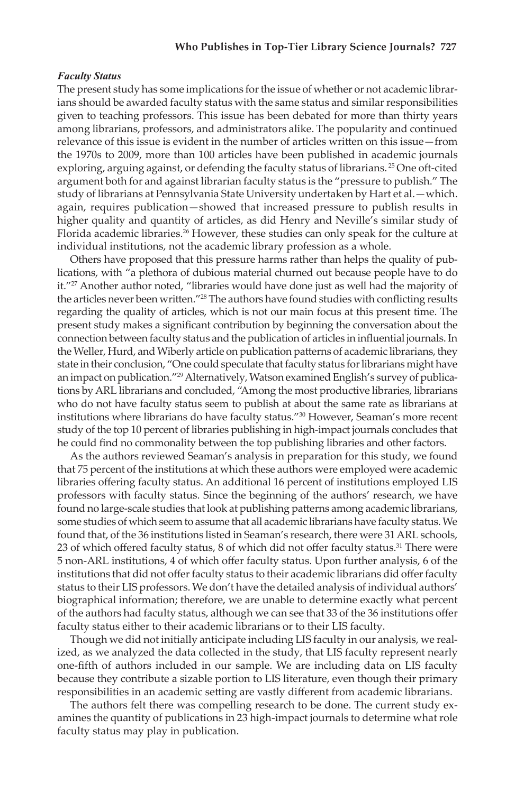### *Faculty Status*

The present study has some implications for the issue of whether or not academic librarians should be awarded faculty status with the same status and similar responsibilities given to teaching professors. This issue has been debated for more than thirty years among librarians, professors, and administrators alike. The popularity and continued relevance of this issue is evident in the number of articles written on this issue—from the 1970s to 2009, more than 100 articles have been published in academic journals exploring, arguing against, or defending the faculty status of librarians. 25 One oft-cited argument both for and against librarian faculty status is the "pressure to publish." The study of librarians at Pennsylvania State University undertaken by Hart et al.—which. again, requires publication—showed that increased pressure to publish results in higher quality and quantity of articles, as did Henry and Neville's similar study of Florida academic libraries.<sup>26</sup> However, these studies can only speak for the culture at individual institutions, not the academic library profession as a whole.

Others have proposed that this pressure harms rather than helps the quality of publications, with "a plethora of dubious material churned out because people have to do it."<sup>27</sup> Another author noted, "libraries would have done just as well had the majority of the articles never been written."<sup>28</sup> The authors have found studies with conflicting results regarding the quality of articles, which is not our main focus at this present time. The present study makes a significant contribution by beginning the conversation about the connection between faculty status and the publication of articles in influential journals. In the Weller, Hurd, and Wiberly article on publication patterns of academic librarians, they state in their conclusion, "One could speculate that faculty status for librarians might have an impact on publication."29 Alternatively, Watson examined English's survey of publications by ARL librarians and concluded, "Among the most productive libraries, librarians who do not have faculty status seem to publish at about the same rate as librarians at institutions where librarians do have faculty status."<sup>30</sup> However, Seaman's more recent study of the top 10 percent of libraries publishing in high-impact journals concludes that he could find no commonality between the top publishing libraries and other factors.

As the authors reviewed Seaman's analysis in preparation for this study, we found that 75 percent of the institutions at which these authors were employed were academic libraries offering faculty status. An additional 16 percent of institutions employed LIS professors with faculty status. Since the beginning of the authors' research, we have found no large-scale studies that look at publishing patterns among academic librarians, some studies of which seem to assume that all academic librarians have faculty status. We found that, of the 36 institutions listed in Seaman's research, there were 31 ARL schools, 23 of which offered faculty status, 8 of which did not offer faculty status.31 There were 5 non-ARL institutions, 4 of which offer faculty status. Upon further analysis, 6 of the institutions that did not offer faculty status to their academic librarians did offer faculty status to their LIS professors. We don't have the detailed analysis of individual authors' biographical information; therefore, we are unable to determine exactly what percent of the authors had faculty status, although we can see that 33 of the 36 institutions offer faculty status either to their academic librarians or to their LIS faculty.

Though we did not initially anticipate including LIS faculty in our analysis, we realized, as we analyzed the data collected in the study, that LIS faculty represent nearly one-fifth of authors included in our sample. We are including data on LIS faculty because they contribute a sizable portion to LIS literature, even though their primary responsibilities in an academic setting are vastly different from academic librarians.

The authors felt there was compelling research to be done. The current study examines the quantity of publications in 23 high-impact journals to determine what role faculty status may play in publication.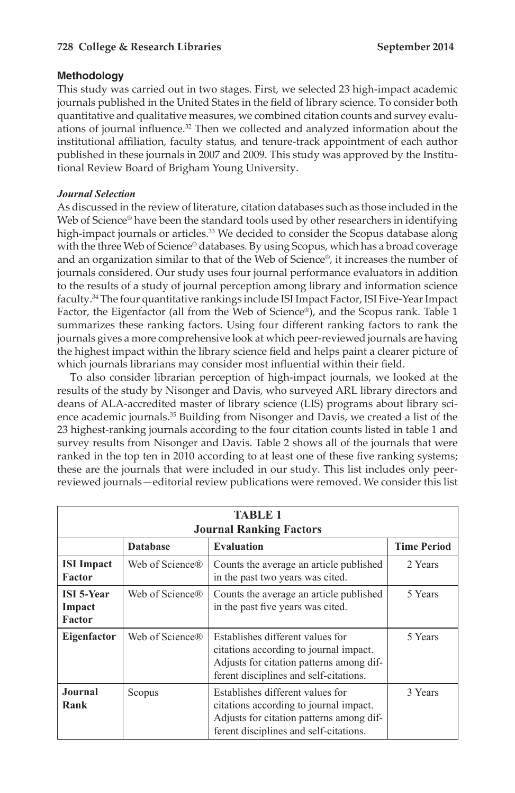## **Methodology**

This study was carried out in two stages. First, we selected 23 high-impact academic journals published in the United States in the field of library science. To consider both quantitative and qualitative measures, we combined citation counts and survey evaluations of journal influence.32 Then we collected and analyzed information about the institutional affiliation, faculty status, and tenure-track appointment of each author published in these journals in 2007 and 2009. This study was approved by the Institutional Review Board of Brigham Young University.

## *Journal Selection*

As discussed in the review of literature, citation databases such as those included in the Web of Science® have been the standard tools used by other researchers in identifying high-impact journals or articles.<sup>33</sup> We decided to consider the Scopus database along with the three Web of Science® databases*.* By using Scopus, which has a broad coverage and an organization similar to that of the Web of Science®, it increases the number of journals considered. Our study uses four journal performance evaluators in addition to the results of a study of journal perception among library and information science faculty.34 The four quantitative rankings include ISI Impact Factor, ISI Five-Year Impact Factor, the Eigenfactor (all from the Web of Science®), and the Scopus rank. Table 1 summarizes these ranking factors. Using four different ranking factors to rank the journals gives a more comprehensive look at which peer-reviewed journals are having the highest impact within the library science field and helps paint a clearer picture of which journals librarians may consider most influential within their field.

To also consider librarian perception of high-impact journals, we looked at the results of the study by Nisonger and Davis, who surveyed ARL library directors and deans of ALA-accredited master of library science (LIS) programs about library science academic journals.<sup>35</sup> Building from Nisonger and Davis, we created a list of the 23 highest-ranking journals according to the four citation counts listed in table 1 and survey results from Nisonger and Davis. Table 2 shows all of the journals that were ranked in the top ten in 2010 according to at least one of these five ranking systems; these are the journals that were included in our study. This list includes only peerreviewed journals—editorial review publications were removed. We consider this list

| <b>TABLE 1</b><br><b>Journal Ranking Factors</b> |                             |                                                                                                                                                                  |                    |  |  |  |  |  |
|--------------------------------------------------|-----------------------------|------------------------------------------------------------------------------------------------------------------------------------------------------------------|--------------------|--|--|--|--|--|
|                                                  | <b>Database</b>             | <b>Evaluation</b>                                                                                                                                                | <b>Time Period</b> |  |  |  |  |  |
| <b>ISI</b> Impact<br>Factor                      | Web of Science $\mathbb{R}$ | Counts the average an article published<br>in the past two years was cited.                                                                                      | 2 Years            |  |  |  |  |  |
| <b>ISI 5-Year</b><br>Impact<br>Factor            | Web of Science®             | Counts the average an article published<br>in the past five years was cited.                                                                                     | 5 Years            |  |  |  |  |  |
| Eigenfactor                                      | Web of Science <sup>®</sup> | Establishes different values for<br>citations according to journal impact.<br>Adjusts for citation patterns among dif-<br>ferent disciplines and self-citations. | 5 Years            |  |  |  |  |  |
| Journal<br>Rank                                  | Scopus                      | Establishes different values for<br>citations according to journal impact.<br>Adjusts for citation patterns among dif-<br>ferent disciplines and self-citations. | 3 Years            |  |  |  |  |  |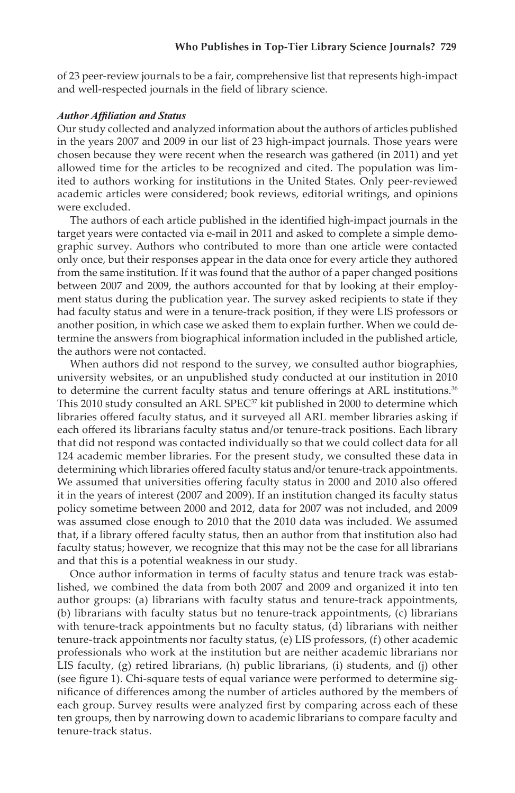### **Who Publishes in Top-Tier Library Science Journals? 729**

of 23 peer-review journals to be a fair, comprehensive list that represents high-impact and well-respected journals in the field of library science.

#### *Author Affiliation and Status*

Our study collected and analyzed information about the authors of articles published in the years 2007 and 2009 in our list of 23 high-impact journals. Those years were chosen because they were recent when the research was gathered (in 2011) and yet allowed time for the articles to be recognized and cited. The population was limited to authors working for institutions in the United States. Only peer-reviewed academic articles were considered; book reviews, editorial writings, and opinions were excluded.

The authors of each article published in the identified high-impact journals in the target years were contacted via e-mail in 2011 and asked to complete a simple demographic survey. Authors who contributed to more than one article were contacted only once, but their responses appear in the data once for every article they authored from the same institution. If it was found that the author of a paper changed positions between 2007 and 2009, the authors accounted for that by looking at their employment status during the publication year. The survey asked recipients to state if they had faculty status and were in a tenure-track position, if they were LIS professors or another position, in which case we asked them to explain further. When we could determine the answers from biographical information included in the published article, the authors were not contacted.

When authors did not respond to the survey, we consulted author biographies, university websites, or an unpublished study conducted at our institution in 2010 to determine the current faculty status and tenure offerings at ARL institutions.<sup>36</sup> This 2010 study consulted an ARL SPEC<sup>37</sup> kit published in 2000 to determine which libraries offered faculty status, and it surveyed all ARL member libraries asking if each offered its librarians faculty status and/or tenure-track positions. Each library that did not respond was contacted individually so that we could collect data for all 124 academic member libraries. For the present study, we consulted these data in determining which libraries offered faculty status and/or tenure-track appointments. We assumed that universities offering faculty status in 2000 and 2010 also offered it in the years of interest (2007 and 2009). If an institution changed its faculty status policy sometime between 2000 and 2012, data for 2007 was not included, and 2009 was assumed close enough to 2010 that the 2010 data was included. We assumed that, if a library offered faculty status, then an author from that institution also had faculty status; however, we recognize that this may not be the case for all librarians and that this is a potential weakness in our study.

Once author information in terms of faculty status and tenure track was established, we combined the data from both 2007 and 2009 and organized it into ten author groups: (a) librarians with faculty status and tenure-track appointments, (b) librarians with faculty status but no tenure-track appointments, (c) librarians with tenure-track appointments but no faculty status, (d) librarians with neither tenure-track appointments nor faculty status, (e) LIS professors, (f) other academic professionals who work at the institution but are neither academic librarians nor LIS faculty, (g) retired librarians, (h) public librarians, (i) students, and (j) other (see figure 1). Chi-square tests of equal variance were performed to determine significance of differences among the number of articles authored by the members of each group. Survey results were analyzed first by comparing across each of these ten groups, then by narrowing down to academic librarians to compare faculty and tenure-track status.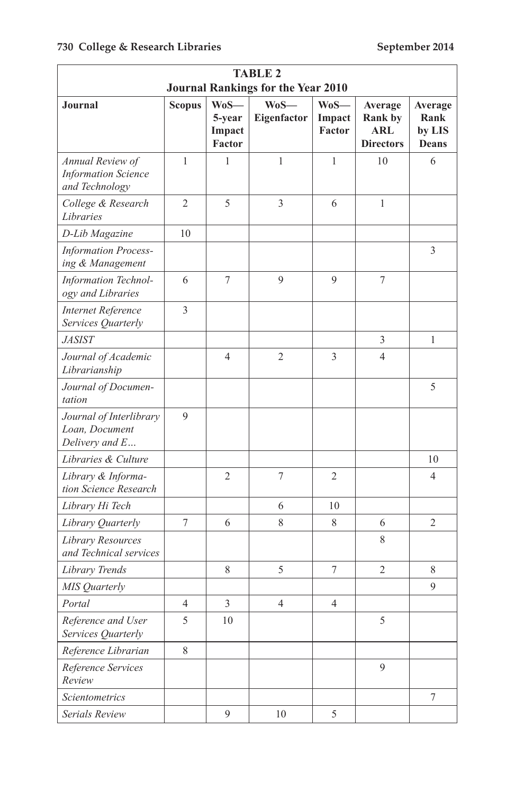| <b>TABLE 2</b>                                                   |                |                                       |                       |                             |                                               |                                           |  |  |  |
|------------------------------------------------------------------|----------------|---------------------------------------|-----------------------|-----------------------------|-----------------------------------------------|-------------------------------------------|--|--|--|
| <b>Journal Rankings for the Year 2010</b>                        |                |                                       |                       |                             |                                               |                                           |  |  |  |
| <b>Journal</b>                                                   | <b>Scopus</b>  | $W0S$ -<br>5-year<br>Impact<br>Factor | $WoS-$<br>Eigenfactor | $WoS$ —<br>Impact<br>Factor | Average<br>Rank by<br>ARL<br><b>Directors</b> | Average<br>Rank<br>by LIS<br><b>Deans</b> |  |  |  |
| Annual Review of<br><b>Information Science</b><br>and Technology | $\mathbf{1}$   | 1                                     | $\mathbf{1}$          | 1                           | 10                                            | 6                                         |  |  |  |
| College & Research<br>Libraries                                  | $\overline{2}$ | 5                                     | $\overline{3}$        | 6                           | $\mathbf{1}$                                  |                                           |  |  |  |
| D-Lib Magazine                                                   | 10             |                                       |                       |                             |                                               |                                           |  |  |  |
| <b>Information Process-</b><br>ing & Management                  |                |                                       |                       |                             |                                               | 3                                         |  |  |  |
| <b>Information Technol-</b><br>ogy and Libraries                 | 6              | $\overline{7}$                        | 9                     | 9                           | $\boldsymbol{7}$                              |                                           |  |  |  |
| Internet Reference<br>Services Quarterly                         | $\mathfrak{Z}$ |                                       |                       |                             |                                               |                                           |  |  |  |
| <b>JASIST</b>                                                    |                |                                       |                       |                             | $\mathfrak{Z}$                                | $\mathbf{1}$                              |  |  |  |
| Journal of Academic<br>Librarianship                             |                | 4                                     | $\overline{2}$        | 3                           | $\overline{4}$                                |                                           |  |  |  |
| Journal of Documen-<br>tation                                    |                |                                       |                       |                             |                                               | 5                                         |  |  |  |
| Journal of Interlibrary<br>Loan, Document<br>Delivery and E      | 9              |                                       |                       |                             |                                               |                                           |  |  |  |
| Libraries & Culture                                              |                |                                       |                       |                             |                                               | 10                                        |  |  |  |
| Library & Informa-<br>tion Science Research                      |                | $\overline{2}$                        | 7                     | $\overline{2}$              |                                               | 4                                         |  |  |  |
| Library Hi Tech                                                  |                |                                       | 6                     | 10                          |                                               |                                           |  |  |  |
| Library Quarterly                                                | 7              | 6                                     | 8                     | 8                           | 6                                             | $\overline{2}$                            |  |  |  |
| Library Resources<br>and Technical services                      |                |                                       |                       |                             | 8                                             |                                           |  |  |  |
| Library Trends                                                   |                | 8                                     | 5                     | $\overline{7}$              | $\overline{2}$                                | 8                                         |  |  |  |
| MIS Quarterly                                                    |                |                                       |                       |                             |                                               | 9                                         |  |  |  |
| Portal                                                           | $\overline{4}$ | 3                                     | $\overline{4}$        | $\overline{4}$              |                                               |                                           |  |  |  |
| Reference and User<br>Services Quarterly                         | 5              | 10                                    |                       |                             | 5                                             |                                           |  |  |  |
| Reference Librarian                                              | 8              |                                       |                       |                             |                                               |                                           |  |  |  |
| Reference Services<br>Review                                     |                |                                       |                       |                             | 9                                             |                                           |  |  |  |
| Scientometrics                                                   |                |                                       |                       |                             |                                               | $\tau$                                    |  |  |  |
| Serials Review                                                   |                | 9                                     | $10\,$                | 5                           |                                               |                                           |  |  |  |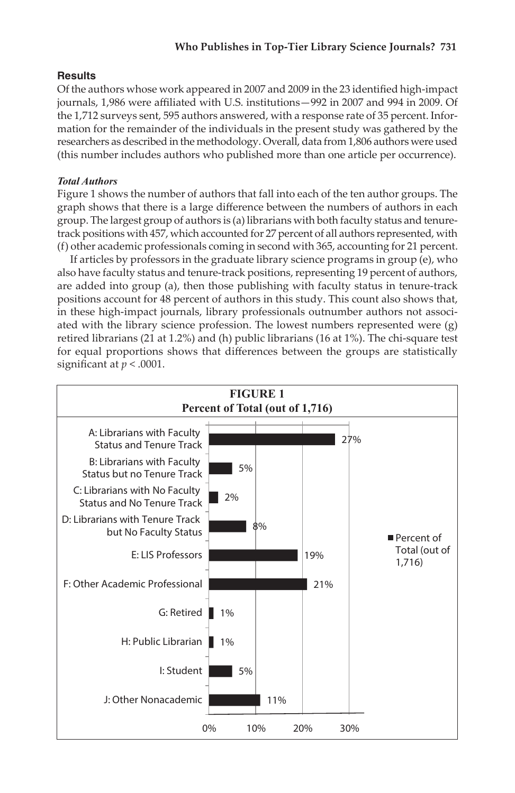## **Results**

Of the authors whose work appeared in 2007 and 2009 in the 23 identified high-impact journals, 1,986 were affiliated with U.S. institutions—992 in 2007 and 994 in 2009. Of the 1,712 surveys sent, 595 authors answered, with a response rate of 35 percent. Information for the remainder of the individuals in the present study was gathered by the researchers as described in the methodology. Overall, data from 1,806 authors were used (this number includes authors who published more than one article per occurrence).

## *Total Authors*

Figure 1 shows the number of authors that fall into each of the ten author groups. The graph shows that there is a large difference between the numbers of authors in each group. The largest group of authors is (a) librarians with both faculty status and tenuretrack positions with 457, which accounted for 27 percent of all authors represented, with (f) other academic professionals coming in second with 365, accounting for 21 percent.

If articles by professors in the graduate library science programs in group (e), who also have faculty status and tenure-track positions, representing 19 percent of authors, are added into group (a), then those publishing with faculty status in tenure-track positions account for 48 percent of authors in this study. This count also shows that, in these high-impact journals, library professionals outnumber authors not associated with the library science profession. The lowest numbers represented were (g) retired librarians (21 at 1.2%) and (h) public librarians (16 at 1%). The chi-square test for equal proportions shows that differences between the groups are statistically significant at *p* < .0001.

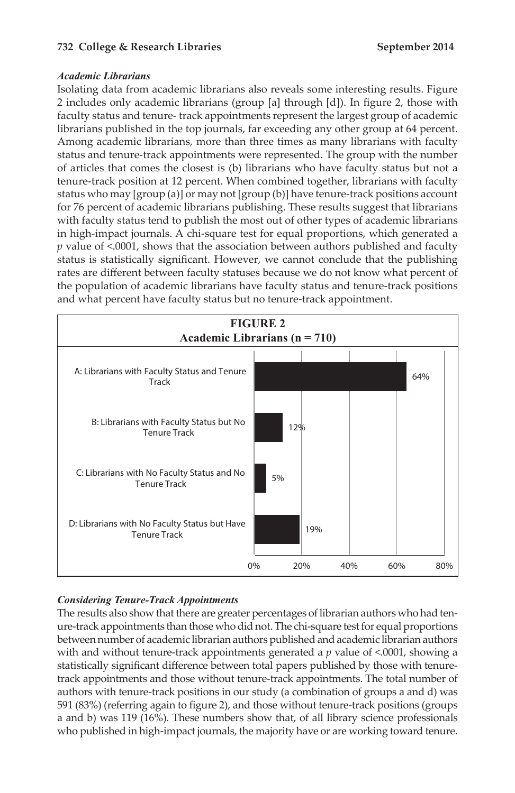## **732 College & Research Libraries September 2014**

## *Academic Librarians*

Isolating data from academic librarians also reveals some interesting results. Figure 2 includes only academic librarians (group [a] through [d]). In figure 2, those with faculty status and tenure- track appointments represent the largest group of academic librarians published in the top journals, far exceeding any other group at 64 percent. Among academic librarians, more than three times as many librarians with faculty status and tenure-track appointments were represented. The group with the number of articles that comes the closest is (b) librarians who have faculty status but not a tenure-track position at 12 percent. When combined together, librarians with faculty status who may [group (a)] or may not [group (b)] have tenure-track positions account for 76 percent of academic librarians publishing. These results suggest that librarians with faculty status tend to publish the most out of other types of academic librarians in high-impact journals. A chi-square test for equal proportions, which generated a *p* value of <.0001, shows that the association between authors published and faculty status is statistically significant. However, we cannot conclude that the publishing rates are different between faculty statuses because we do not know what percent of the population of academic librarians have faculty status and tenure-track positions and what percent have faculty status but no tenure-track appointment.



## *Considering Tenure-Track Appointments*

The results also show that there are greater percentages of librarian authors who had tenure-track appointments than those who did not. The chi-square test for equal proportions between number of academic librarian authors published and academic librarian authors with and without tenure-track appointments generated a *p* value of <.0001, showing a statistically significant difference between total papers published by those with tenuretrack appointments and those without tenure-track appointments. The total number of authors with tenure-track positions in our study (a combination of groups a and d) was 591 (83%) (referring again to figure 2), and those without tenure-track positions (groups a and b) was 119 (16%). These numbers show that, of all library science professionals who published in high-impact journals, the majority have or are working toward tenure.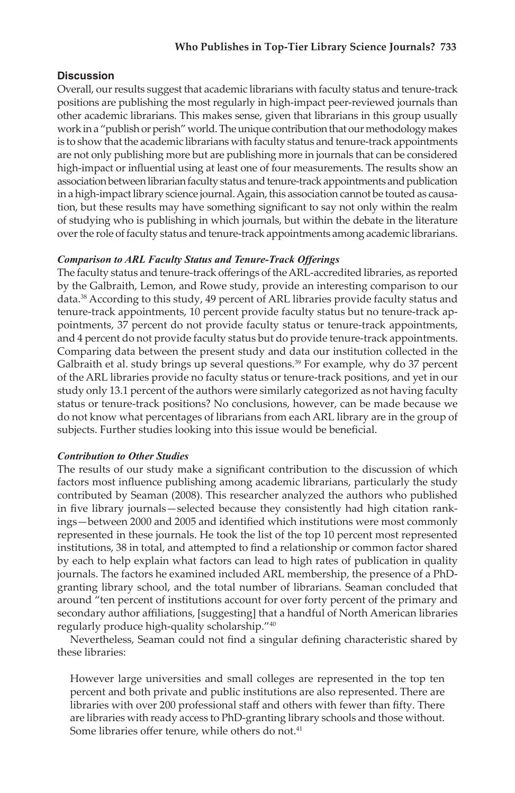## **Discussion**

Overall, our results suggest that academic librarians with faculty status and tenure-track positions are publishing the most regularly in high-impact peer-reviewed journals than other academic librarians. This makes sense, given that librarians in this group usually work in a "publish or perish" world. The unique contribution that our methodology makes is to show that the academic librarians with faculty status and tenure-track appointments are not only publishing more but are publishing more in journals that can be considered high-impact or influential using at least one of four measurements. The results show an association between librarian faculty status and tenure-track appointments and publication in a high-impact library science journal. Again, this association cannot be touted as causation, but these results may have something significant to say not only within the realm of studying who is publishing in which journals, but within the debate in the literature over the role of faculty status and tenure-track appointments among academic librarians.

## *Comparison to ARL Faculty Status and Tenure-Track Offerings*

The faculty status and tenure-track offerings of the ARL-accredited libraries, as reported by the Galbraith, Lemon, and Rowe study, provide an interesting comparison to our data.<sup>38</sup> According to this study, 49 percent of ARL libraries provide faculty status and tenure-track appointments, 10 percent provide faculty status but no tenure-track appointments, 37 percent do not provide faculty status or tenure-track appointments, and 4 percent do not provide faculty status but do provide tenure-track appointments. Comparing data between the present study and data our institution collected in the Galbraith et al. study brings up several questions.<sup>39</sup> For example, why do 37 percent of the ARL libraries provide no faculty status or tenure-track positions, and yet in our study only 13.1 percent of the authors were similarly categorized as not having faculty status or tenure-track positions? No conclusions, however, can be made because we do not know what percentages of librarians from each ARL library are in the group of subjects. Further studies looking into this issue would be beneficial.

## *Contribution to Other Studies*

The results of our study make a significant contribution to the discussion of which factors most influence publishing among academic librarians, particularly the study contributed by Seaman (2008). This researcher analyzed the authors who published in five library journals—selected because they consistently had high citation rankings—between 2000 and 2005 and identified which institutions were most commonly represented in these journals. He took the list of the top 10 percent most represented institutions, 38 in total, and attempted to find a relationship or common factor shared by each to help explain what factors can lead to high rates of publication in quality journals. The factors he examined included ARL membership, the presence of a PhDgranting library school, and the total number of librarians. Seaman concluded that around "ten percent of institutions account for over forty percent of the primary and secondary author affiliations, [suggesting] that a handful of North American libraries regularly produce high-quality scholarship."<sup>40</sup>

Nevertheless, Seaman could not find a singular defining characteristic shared by these libraries:

However large universities and small colleges are represented in the top ten percent and both private and public institutions are also represented. There are libraries with over 200 professional staff and others with fewer than fifty. There are libraries with ready access to PhD-granting library schools and those without. Some libraries offer tenure, while others do not.<sup>41</sup>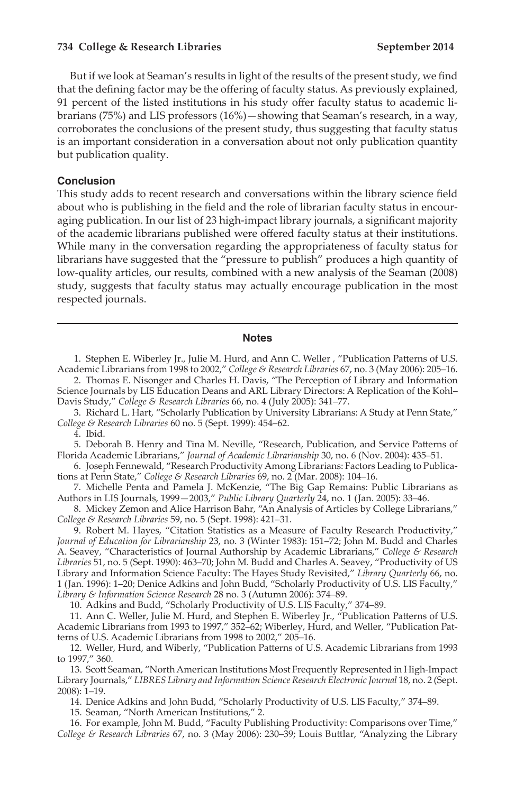#### **734 College & Research Libraries September 2014**

But if we look at Seaman's results in light of the results of the present study, we find that the defining factor may be the offering of faculty status. As previously explained, 91 percent of the listed institutions in his study offer faculty status to academic librarians (75%) and LIS professors (16%)—showing that Seaman's research, in a way, corroborates the conclusions of the present study, thus suggesting that faculty status is an important consideration in a conversation about not only publication quantity but publication quality.

## **Conclusion**

This study adds to recent research and conversations within the library science field about who is publishing in the field and the role of librarian faculty status in encouraging publication. In our list of 23 high-impact library journals, a significant majority of the academic librarians published were offered faculty status at their institutions. While many in the conversation regarding the appropriateness of faculty status for librarians have suggested that the "pressure to publish" produces a high quantity of low-quality articles, our results, combined with a new analysis of the Seaman (2008) study, suggests that faculty status may actually encourage publication in the most respected journals.

#### **Notes**

1. Stephen E. Wiberley Jr., Julie M. Hurd, and Ann C. Weller , "Publication Patterns of U.S. Academic Librarians from 1998 to 2002," *College & Research Libraries* 67, no. 3 (May 2006): 205–16.

 2. Thomas E. Nisonger and Charles H. Davis, "The Perception of Library and Information Science Journals by LIS Education Deans and ARL Library Directors: A Replication of the Kohl– Davis Study," *College & Research Libraries* 66, no. 4 (July 2005): 341–77.

 3. Richard L. Hart, "Scholarly Publication by University Librarians: A Study at Penn State," *College & Research Libraries* 60 no. 5 (Sept. 1999): 454–62.

4. Ibid.

 5. Deborah B. Henry and Tina M. Neville, "Research, Publication, and Service Patterns of Florida Academic Librarians," *Journal of Academic Librarianship* 30, no. 6 (Nov. 2004): 435–51.

 6. Joseph Fennewald, "Research Productivity Among Librarians: Factors Leading to Publications at Penn State," *College & Research Libraries* 69, no. 2 (Mar. 2008): 104–16.

 7. Michelle Penta and Pamela J. McKenzie, "The Big Gap Remains: Public Librarians as Authors in LIS Journals, 1999—2003," *Public Library Quarterly* 24, no. 1 (Jan. 2005): 33–46.

 8. Mickey Zemon and Alice Harrison Bahr, "An Analysis of Articles by College Librarians," *College & Research Libraries* 59, no. 5 (Sept. 1998): 421–31.

 9. Robert M. Hayes, "Citation Statistics as a Measure of Faculty Research Productivity," *Journal of Education for Librarianship* 23, no. 3 (Winter 1983): 151–72; John M. Budd and Charles A. Seavey, "Characteristics of Journal Authorship by Academic Librarians," *College & Research Libraries* 51, no. 5 (Sept. 1990): 463–70; John M. Budd and Charles A. Seavey, "Productivity of US Library and Information Science Faculty: The Hayes Study Revisited," *Library Quarterly* 66, no. 1 (Jan. 1996): 1–20; Denice Adkins and John Budd, "Scholarly Productivity of U.S. LIS Faculty," *Library & Information Science Research* 28 no. 3 (Autumn 2006): 374–89.

10. Adkins and Budd, "Scholarly Productivity of U.S. LIS Faculty," 374–89.

11. Ann C. Weller, Julie M. Hurd, and Stephen E. Wiberley Jr., "Publication Patterns of U.S. Academic Librarians from 1993 to 1997," 352–62; Wiberley, Hurd, and Weller, "Publication Patterns of U.S. Academic Librarians from 1998 to 2002," 205–16.

12. Weller, Hurd, and Wiberly, "Publication Patterns of U.S. Academic Librarians from 1993 to 1997," 360.

13. Scott Seaman, "North American Institutions Most Frequently Represented in High-Impact Library Journals," *LIBRES Library and Information Science Research Electronic Journal* 18, no. 2 (Sept. 2008): 1–19.

14. Denice Adkins and John Budd, "Scholarly Productivity of U.S. LIS Faculty," 374–89.

15. Seaman, "North American Institutions," 2.

16. For example, John M. Budd, "Faculty Publishing Productivity: Comparisons over Time," *College & Research Libraries* 67, no. 3 (May 2006): 230–39; Louis Buttlar, "Analyzing the Library